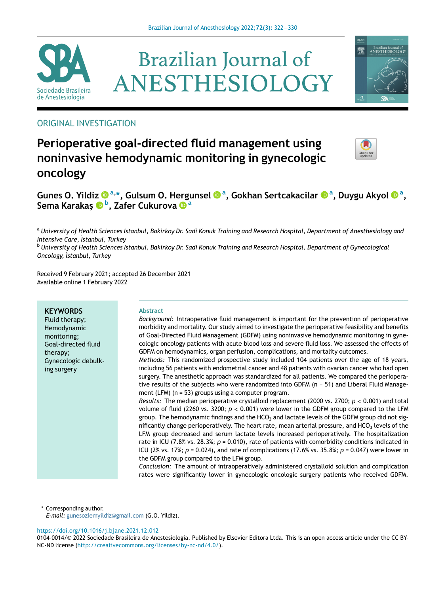





# ORIGINAL INVESTIGATION

# Perioperative goal-directed fluid management using noninvasive hemodynamic monitoring in gynecologic oncology



Gunes O. Yildiz �����[, Gulsum O. Hergunsel](http://orcid.org/0000-0003-3218-0029) ���, Gokh[a](http://orcid.org/0000-0001-7956-9942)n Sertcakacilar ���[, Duygu Akyol](http://orcid.org/0000-0001-7956-9942) ���[,](http://orcid.org/0000-0001-7956-9942) [Sema Karaka](http://orcid.org/0000-0001-7956-9942)s¸ [b](http://orcid.org/0000-0002-2795-4766) [, Zafer Cukurova](http://orcid.org/0000-0002-8893-3977) [a](http://orcid.org/0000-0002-8893-3977)

a University of Health Sciences Istanbul, Bakirkoy Dr. Sadi Konuk Training and Research Hospital, Department of Anesthesiology and Intensive Care, İstanbul, Turkey

<sup>b</sup> University of Health Sciences Istanbul, Bakirkoy Dr. Sadi Konuk Training and Research Hospital, Department of Gynecological Oncology, \_ Istanbul, Turkey

Received 9 February 2021; accepted 26 December 2021 Available online 1 February 2022

# **KEYWORDS**

Fluid therapy; Hemodynamic monitoring; Goal-directed fluid therapy; Gynecologic debulking surgery

#### Abstract

Background: Intraoperative fluid management is important for the prevention of perioperative morbidity and mortality. Our study aimed to investigate the perioperative feasibility and benefits of Goal-Directed Fluid Management (GDFM) using noninvasive hemodynamic monitoring in gynecologic oncology patients with acute blood loss and severe fluid loss. We assessed the effects of GDFM on hemodynamics, organ perfusion, complications, and mortality outcomes.

Methods: This randomized prospective study included 104 patients over the age of 18 years, including 56 patients with endometrial cancer and 48 patients with ovarian cancer who had open surgery. The anesthetic approach was standardized for all patients. We compared the perioperative results of the subjects who were randomized into GDFM (n = 51) and Liberal Fluid Management (LFM) (n = 53) groups using a computer program.

Results: The median perioperative crystalloid replacement (2000 vs. 2700;  $p < 0.001$ ) and total volume of fluid (2260 vs. 3200;  $p < 0.001$ ) were lower in the GDFM group compared to the LFM group. The hemodynamic findings and the HCO<sub>3</sub> and lactate levels of the GDFM group did not significantly change perioperatively. The heart rate, mean arterial pressure, and  $HCO<sub>3</sub>$  levels of the LFM group decreased and serum lactate levels increased perioperatively. The hospitalization rate in ICU (7.8% vs. 28.3%;  $p = 0.010$ ), rate of patients with comorbidity conditions indicated in ICU (2% vs. 17%;  $p = 0.024$ ), and rate of complications (17.6% vs. 35.8%;  $p = 0.047$ ) were lower in the GDFM group compared to the LFM group.

Conclusion: The amount of intraoperatively administered crystalloid solution and complication rates were significantly lower in gynecologic oncologic surgery patients who received GDFM.

\* Corresponding author.

E-mail: [gunesozlemyildiz@gmail.com](mailto:gunesozlemyildiz@gmail.com) (G.O. Yildiz).

<https://doi.org/10.1016/j.bjane.2021.12.012>

<sup>0104-0014/© 2022</sup> Sociedade Brasileira de Anestesiologia. Published by Elsevier Editora Ltda. This is an open access article under the CC BY-NC-ND license [\(http://creativecommons.org/licenses/by-nc-nd/4.0/](http://creativecommons.org/licenses/by-nc-nd/4.0/)).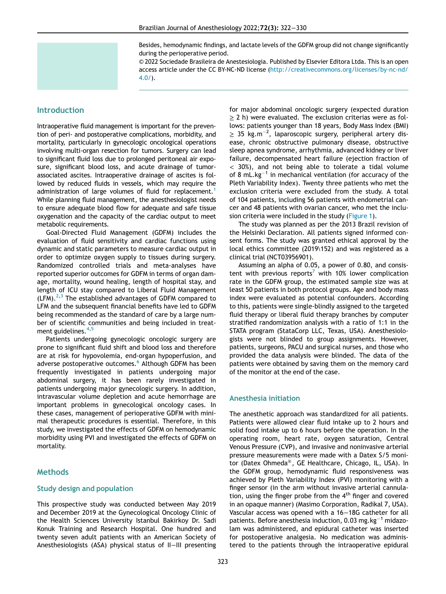Besides, hemodynamic findings, and lactate levels of the GDFM group did not change significantly during the perioperative period.

© 2022 Sociedade Brasileira de Anestesiologia. Published by Elsevier Editora Ltda. This is an open access article under the CC BY-NC-ND license [\(http://creativecommons.org/licenses/by-nc-nd/](http://creativecommons.org/licenses/by-nc-nd/4.0/) [4.0/\)](http://creativecommons.org/licenses/by-nc-nd/4.0/).

## Introduction

Intraoperative fluid management is important for the prevention of peri- and postoperative complications, morbidity, and mortality, particularly in gynecologic oncological operations involving multi-organ resection for tumors. Surgery can lead to significant fluid loss due to prolonged peritoneal air exposure, significant blood loss, and acute drainage of tumorassociated ascites. Intraoperative drainage of ascites is followed by reduced fluids in vessels, which may require the administration of large volumes of fluid for replacement.<sup>1</sup> While planning fluid management, the anesthesiologist needs to ensure adequate blood flow for adequate and safe tissue oxygenation and the capacity of the cardiac output to meet metabolic requirements.

Goal-Directed Fluid Management (GDFM) includes the evaluation of fluid sensitivity and cardiac functions using dynamic and static parameters to measure cardiac output in order to optimize oxygen supply to tissues during surgery. Randomized controlled trials and meta-analyses have reported superior outcomes for GDFM in terms of organ damage, mortality, wound healing, length of hospital stay, and length of ICU stay compared to Liberal Fluid Management  $(LFM).^{2,3}$  $(LFM).^{2,3}$  $(LFM).^{2,3}$  $(LFM).^{2,3}$  $(LFM).^{2,3}$  The established advantages of GDFM compared to LFM and the subsequent financial benefits have led to GDFM being recommended as the standard of care by a large number of scientific communities and being included in treatment guidelines.  $4,5$  $4,5$  $4,5$ 

Patients undergoing gynecologic oncologic surgery are prone to significant fluid shift and blood loss and therefore are at risk for hypovolemia, end-organ hypoperfusion, and adverse postoperative outcomes.<sup>[6](#page-8-5)</sup> Although GDFM has been frequently investigated in patients undergoing major abdominal surgery, it has been rarely investigated in patients undergoing major gynecologic surgery. In addition, intravascular volume depletion and acute hemorrhage are important problems in gynecological oncology cases. In these cases, management of perioperative GDFM with minimal therapeutic procedures is essential. Therefore, in this study, we investigated the effects of GDFM on hemodynamic morbidity using PVI and investigated the effects of GDFM on mortality.

## **Methods**

#### Study design and population

This prospective study was conducted between May 2019 and December 2019 at the Gynecological Oncology Clinic of the Health Sciences University Istanbul Bakirkoy Dr. Sadi Konuk Training and Research Hospital. One hundred and twenty seven adult patients with an American Society of Anesthesiologists (ASA) physical status of II−III presenting for major abdominal oncologic surgery (expected duration  $\geq$  2 h) were evaluated. The exclusion criterias were as follows: patients younger than 18 years, Body Mass Index (BMI)  $\geq 35$  kg.m<sup>-2</sup>, laparoscopic surgery, peripheral artery disease, chronic obstructive pulmonary disease, obstructive sleep apnea syndrome, arrhythmia, advanced kidney or liver failure, decompensated heart failure (ejection fraction of < 30%), and not being able to tolerate a tidal volume of 8 mL.kg<sup>-1</sup> in mechanical ventilation (for accuracy of the Pleth Variability Index). Twenty three patients who met the exclusion criteria were excluded from the study. A total of 104 patients, including 56 patients with endometrial cancer and 48 patients with ovarian cancer, who met the inclusion criteria were included in the study ([Figure 1](#page-2-0)).

The study was planned as per the 2013 Brazil revision of the Helsinki Declaration. All patients signed informed consent forms. The study was granted ethical approval by the local ethics committee (2019\152) and was registered as a clinical trial (NCT03956901).

Assuming an alpha of 0.05, a power of 0.80, and consis-tent with previous reports<sup>[7](#page-8-6)</sup> with 10% lower complication rate in the GDFM group, the estimated sample size was at least 50 patients in both protocol groups. Age and body mass index were evaluated as potential confounders. According to this, patients were single-blindly assigned to the targeted fluid therapy or liberal fluid therapy branches by computer stratified randomization analysis with a ratio of 1:1 in the STATA program (StataCorp LLC, Texas, USA). Anesthesiologists were not blinded to group assignments. However, patients, surgeons, PACU and surgical nurses, and those who provided the data analysis were blinded. The data of the patients were obtained by saving them on the memory card of the monitor at the end of the case.

#### Anesthesia initiation

The anesthetic approach was standardized for all patients. Patients were allowed clear fluid intake up to 2 hours and solid food intake up to 6 hours before the operation. In the operating room, heart rate, oxygen saturation, Central Venous Pressure (CVP), and invasive and noninvasive arterial pressure measurements were made with a Datex S/5 monitor (Datex Ohmeda®, GE Healthcare, Chicago, IL, USA). In the GDFM group, hemodynamic fluid responsiveness was achieved by Pleth Variability Index (PVI) monitoring with a finger sensor (in the arm without invasive arterial cannulation, using the finger probe from the  $4<sup>th</sup>$  finger and covered in an opaque manner) (Masimo Corporation, Radikal 7, USA). Vascular access was opened with a 16−18G catheter for all patients. Before anesthesia induction, 0.03 mg.kg<sup>-1</sup> midazolam was administered, and epidural catheter was inserted for postoperative analgesia. No medication was administered to the patients through the intraoperative epidural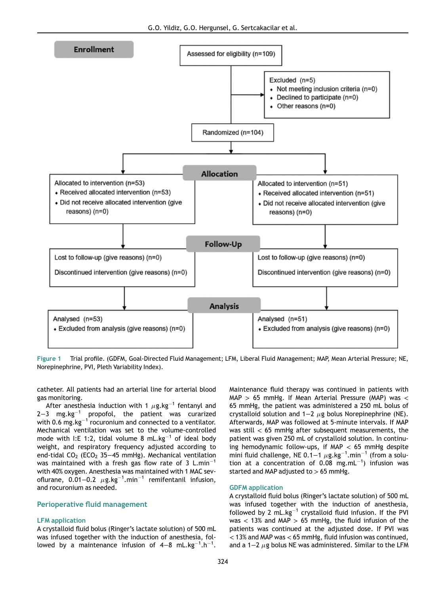<span id="page-2-0"></span>

Figure 1 Trial profile. (GDFM, Goal-Directed Fluid Management; LFM, Liberal Fluid Management; MAP, Mean Arterial Pressure; NE, Norepinephrine, PVI, Pleth Variability Index).

catheter. All patients had an arterial line for arterial blood gas monitoring.

After anesthesia induction with 1  $\mu$ g.kg<sup>-1</sup> fentanyl and  $2-3$  mg.kg<sup>-1</sup> propofol, the patient was curarized with 0.6 mg.kg $^{-1}$  rocuronium and connected to a ventilator. Mechanical ventilation was set to the volume-controlled mode with I:E 1:2, tidal volume 8 mL.kg<sup>-1</sup> of ideal body weight, and respiratory frequency adjusted according to end-tidal  $CO<sub>2</sub>$  (ECO<sub>2</sub> 35–45 mmHg). Mechanical ventilation was maintained with a fresh gas flow rate of 3  $L.min^{-1}$ with 40% oxygen. Anesthesia was maintained with 1 MAC sevoflurane,  $0.01-0.2$   $\mu$ g.kg $^{-1}.$ min $^{-1}$  remifentanil infusion, and rocuronium as needed.

#### Perioperative fluid management

## LFM application

A crystalloid fluid bolus (Ringer's lactate solution) of 500 mL was infused together with the induction of anesthesia, followed by a maintenance infusion of 4–8 mL.kg<sup>-1</sup>.h<sup>-1</sup>.

Maintenance fluid therapy was continued in patients with  $MAP$  > 65 mmHg. If Mean Arterial Pressure (MAP) was  $\lt$ 65 mmHg, the patient was administered a 250 mL bolus of crystalloid solution and 1−2  $\mu$ g bolus Norepinephrine (NE). Afterwards, MAP was followed at 5-minute intervals. If MAP was still  $<$  65 mmHg after subsequent measurements, the patient was given 250 mL of crystalloid solution. In continuing hemodynamic follow-ups, if MAP  $<$  65 mmHg despite mini fluid challenge, NE 0.1–1  $\mu$ g.kg<sup>-1</sup>.min<sup>-1</sup> (from a solution at a concentration of  $0.08$  mg.mL<sup>-1</sup>) infusion was started and MAP adjusted to  $> 65$  mmHg.

#### GDFM application

A crystalloid fluid bolus (Ringer's lactate solution) of 500 mL was infused together with the induction of anesthesia, followed by 2 mL.kg<sup>-1</sup> crystalloid fluid infusion. If the PVI was  $<$  13% and MAP  $>$  65 mmHg, the fluid infusion of the patients was continued at the adjusted dose. If PVI was  $<$  13% and MAP was  $<$  65 mmHg, fluid infusion was continued, and a 1−2  $\mu$ g bolus NE was administered. Similar to the LFM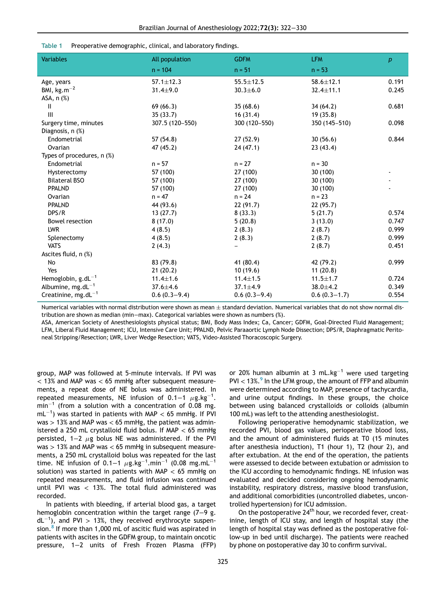<span id="page-3-0"></span>

| <b>Variables</b>           | All population  | <b>GDFM</b>     | <b>LFM</b>      | $\boldsymbol{p}$ |
|----------------------------|-----------------|-----------------|-----------------|------------------|
|                            | $n = 104$       | $n = 51$        | $n = 53$        |                  |
| Age, years                 | $57.1 \pm 12.3$ | $55.5 \pm 12.5$ | $58.6 \pm 12.1$ | 0.191            |
| BMI, $kg.m^{-2}$           | $31.4 \pm 9.0$  | $30.3 \pm 6.0$  | $32.4 \pm 11.1$ | 0.245            |
| ASA, $n$ $(\%)$            |                 |                 |                 |                  |
| $\mathbf{I}$               | 69(66.3)        | 35(68.6)        | 34(64.2)        | 0.681            |
| $\mathbf{III}$             | 35(33.7)        | 16(31.4)        | 19(35.8)        |                  |
| Surgery time, minutes      | 307.5 (120-550) | 300 (120-550)   | 350 (145-510)   | 0.098            |
| Diagnosis, n (%)           |                 |                 |                 |                  |
| Endometrial                | 57(54.8)        | 27(52.9)        | 30(56.6)        | 0.844            |
| Ovarian                    | 47 (45.2)       | 24(47.1)        | 23(43.4)        |                  |
| Types of procedures, n (%) |                 |                 |                 |                  |
| Endometrial                | $n = 57$        | $n = 27$        | $n = 30$        |                  |
| Hysterectomy               | 57 (100)        | 27 (100)        | 30 (100)        |                  |
| <b>Bilateral BSO</b>       | 57 (100)        | 27 (100)        | 30 (100)        |                  |
| <b>PPALND</b>              | 57 (100)        | 27 (100)        | 30 (100)        |                  |
| Ovarian                    | $n = 47$        | $n = 24$        | $n = 23$        |                  |
| <b>PPALND</b>              | 44 (93.6)       | 22(91.7)        | 22(95.7)        |                  |
| DPS/R                      | 13(27.7)        | 8(33.3)         | 5(21.7)         | 0.574            |
| <b>Bowel resection</b>     | 8(17.0)         | 5(20.8)         | 3(13.0)         | 0.747            |
| <b>LWR</b>                 | 4(8.5)          | 2(8.3)          | 2(8.7)          | 0.999            |
| Splenectomy                | 4(8.5)          | 2(8.3)          | 2(8.7)          | 0.999            |
| <b>VATS</b>                | 2(4.3)          |                 | 2(8.7)          | 0.451            |
| Ascites fluid, n (%)       |                 |                 |                 |                  |
| No                         | 83 (79.8)       | 41 (80.4)       | 42 (79.2)       | 0.999            |
| Yes                        | 21(20.2)        | 10(19.6)        | 11(20.8)        |                  |
| Hemoglobin, $g.dL^{-1}$    | $11.4 \pm 1.6$  | $11.4 \pm 1.5$  | $11.5 \pm 1.7$  | 0.724            |
| Albumine, mg.d $L^{-1}$    | $37.6 \pm 4.6$  | $37.1 \pm 4.9$  | $38.0 + 4.2$    | 0.349            |
| Creatinine, $mg.dL^{-1}$   | $0.6(0.3-9.4)$  | $0.6(0.3-9.4)$  | $0.6(0.3-1.7)$  | 0.554            |

|  | Table 1 Preoperative demographic, clinical, and laboratory findings. |  |  |
|--|----------------------------------------------------------------------|--|--|
|--|----------------------------------------------------------------------|--|--|

Numerical variables with normal distribution were shown as mean  $\pm$  standard deviation. Numerical variables that do not show normal distribution are shown as median (min−max). Categorical variables were shown as numbers (%).

ASA, American Society of Anesthesiologists physical status; BMI, Body Mass Index; Ca, Cancer; GDFM, Goal-Directed Fluid Management; LFM, Liberal Fluid Management; ICU, Intensive Care Unit; PPALND, Pelvic Paraaortic Lymph Node Dissection; DPS/R, Diaphragmatic Peritoneal Stripping/Resection; LWR, Liver Wedge Resection; VATS, Video-Assisted Thoracoscopic Surgery.

group, MAP was followed at 5-minute intervals. If PVI was  $<$  13% and MAP was  $<$  65 mmHg after subsequent measurements, a repeat dose of NE bolus was administered. In repeated measurements, NE infusion of 0.1–1  $\mu$ g.kg $^{-1}$ .  $min^{-1}$  (from a solution with a concentration of 0.08 mg.  $\textsf{mL}^{-1}$ ) was started in patients with MAP  $<$  65 mmHg. If PVI was  $> 13\%$  and MAP was  $< 65$  mmHg, the patient was administered a 250 mL crystalloid fluid bolus. If MAP  $<$  65 mmHg persisted, 1−2  $\mu$ g bolus NE was administered. If the PVI  $was > 13%$  and MAP was  $< 65$  mmHg in subsequent measurements, a 250 mL crystalloid bolus was repeated for the last time. NE infusion of 0.1−1  $\mu$ g.kg<sup>-1</sup>.min<sup>-1</sup> (0.08 mg.mL<sup>-1</sup> solution) was started in patients with MAP  $<$  65 mmHg on repeated measurements, and fluid infusion was continued until PVI was < 13%. The total fluid administered was recorded.

In patients with bleeding, if arterial blood gas, a target hemoglobin concentration within the target range (7−9 g.  $dL^{-1}$ ), and PVI > 13%, they received erythrocyte suspen-sion.<sup>[8](#page-8-7)</sup> If more than 1,000 mL of ascitic fluid was aspirated in patients with ascites in the GDFM group, to maintain oncotic pressure, 1−2 units of Fresh Frozen Plasma (FFP)

or 20% human albumin at 3 mL.kg $^{-1}$  were used targeting  $PVI < 13\%$ . In the LFM group, the amount of FFP and albumin were determined according to MAP, presence of tachycardia, and urine output findings. In these groups, the choice between using balanced crystalloids or colloids (albumin 100 mL) was left to the attending anesthesiologist.

Following perioperative hemodynamic stabilization, we recorded PVI, blood gas values, perioperative blood loss, and the amount of administered fluids at T0 (15 minutes after anesthesia induction), T1 (hour 1), T2 (hour 2), and after extubation. At the end of the operation, the patients were assessed to decide between extubation or admission to the ICU according to hemodynamic findings. NE infusion was evaluated and decided considering ongoing hemodynamic instability, respiratory distress, massive blood transfusion, and additional comorbidities (uncontrolled diabetes, uncontrolled hypertension) for ICU admission.

On the postoperative  $24<sup>th</sup>$  hour, we recorded fever, creatinine, length of ICU stay, and length of hospital stay (the length of hospital stay was defined as the postoperative follow-up in bed until discharge). The patients were reached by phone on postoperative day 30 to confirm survival.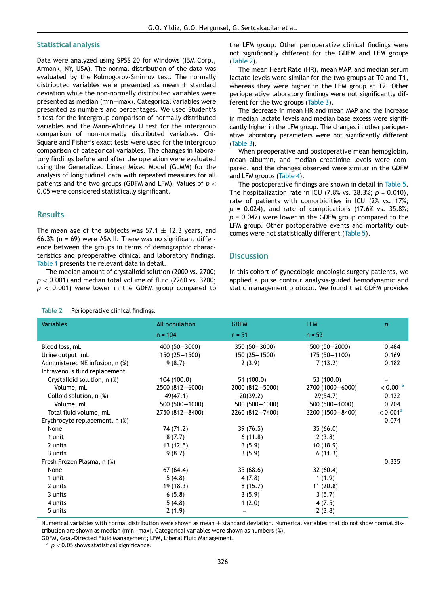#### Statistical analysis

Data were analyzed using SPSS 20 for Windows (IBM Corp., Armonk, NY, USA). The normal distribution of the data was evaluated by the Kolmogorov-Smirnov test. The normally distributed variables were presented as mean  $\pm$  standard deviation while the non-normally distributed variables were presented as median (min−max). Categorical variables were presented as numbers and percentages. We used Student's t-test for the intergroup comparison of normally distributed variables and the Mann-Whitney U test for the intergroup comparison of non-normally distributed variables. Chi-Square and Fisher's exact tests were used for the intergroup comparison of categorical variables. The changes in laboratory findings before and after the operation were evaluated using the Generalized Linear Mixed Model (GLMM) for the analysis of longitudinal data with repeated measures for all patients and the two groups (GDFM and LFM). Values of  $p <$ 0.05 were considered statistically significant.

# **Results**

The mean age of the subjects was  $57.1 \pm 12.3$  years, and 66.3% (n = 69) were ASA II. There was no significant difference between the groups in terms of demographic characteristics and preoperative clinical and laboratory findings. [Table 1](#page-3-0) presents the relevant data in detail.

The median amount of crystalloid solution (2000 vs. 2700;  $p < 0.001$ ) and median total volume of fluid (2260 vs. 3200;  $p$  < 0.001) were lower in the GDFM group compared to

#### <span id="page-4-0"></span>Table 2 Perioperative clinical findings.

the LFM group. Other perioperative clinical findings were not significantly different for the GDFM and LFM groups ([Table 2\)](#page-4-0).

The mean Heart Rate (HR), mean MAP, and median serum lactate levels were similar for the two groups at T0 and T1, whereas they were higher in the LFM group at T2. Other perioperative laboratory findings were not significantly different for the two groups [\(Table 3](#page-5-0)).

The decrease in mean HR and mean MAP and the increase in median lactate levels and median base excess were significantly higher in the LFM group. The changes in other perioperative laboratory parameters were not significantly different ([Table 3](#page-5-0)).

When preoperative and postoperative mean hemoglobin, mean albumin, and median creatinine levels were compared, and the changes observed were similar in the GDFM and LFM groups [\(Table 4](#page-6-0)).

The postoperative findings are shown in detail in [Table 5](#page-6-1). The hospitalization rate in ICU (7.8% vs. 28.3%;  $p = 0.010$ ), rate of patients with comorbidities in ICU (2% vs. 17%;  $p = 0.024$ , and rate of complications (17.6% vs. 35.8%;  $p = 0.047$ ) were lower in the GDFM group compared to the LFM group. Other postoperative events and mortality outcomes were not statistically different [\(Table 5](#page-6-1)).

#### **Discussion**

In this cohort of gynecologic oncologic surgery patients, we applied a pulse contour analysis-guided hemodynamic and static management protocol. We found that GDFM provides

| <b>Variables</b>                | All population   | <b>GDFM</b>      | <b>LFM</b>       | $\boldsymbol{p}$     |
|---------------------------------|------------------|------------------|------------------|----------------------|
|                                 | $n = 104$        | $n = 51$         | $n = 53$         |                      |
| Blood loss, mL                  | 400 (50 - 3000)  | 350 (50 - 3000)  | $500(50 - 2000)$ | 0.484                |
| Urine output, mL                | $150(25 - 1500)$ | 150 (25 - 1500)  | 175 (50 - 1100)  | 0.169                |
| Administered NE infusion, n (%) | 9(8.7)           | 2(3.9)           | 7(13.2)          | 0.182                |
| Intravenous fluid replacement   |                  |                  |                  |                      |
| Crystalloid solution, n (%)     | 104 (100.0)      | 51 (100.0)       | 53 (100.0)       |                      |
| Volume, mL                      | 2500 (812-6000)  | 2000 (812-5000)  | 2700 (1000-6000) | < 0.001 <sup>a</sup> |
| Colloid solution, n (%)         | 49(47.1)         | 20(39.2)         | 29(54.7)         | 0.122                |
| Volume, mL                      | 500 (500 - 1000) | 500 (500 - 1000) | 500 (500 - 1000) | 0.204                |
| Total fluid volume, mL          | 2750 (812-8400)  | 2260 (812-7400)  | 3200 (1500-8400) | < 0.001 <sup>a</sup> |
| Erythrocyte replacement, n (%)  |                  |                  |                  | 0.074                |
| None                            | 74 (71.2)        | 39 (76.5)        | 35(66.0)         |                      |
| 1 unit                          | 8(7.7)           | 6(11.8)          | 2(3.8)           |                      |
| 2 units                         | 13(12.5)         | 3(5.9)           | 10(18.9)         |                      |
| 3 units                         | 9(8.7)           | 3(5.9)           | 6(11.3)          |                      |
| Fresh Frozen Plasma, n (%)      |                  |                  |                  | 0.335                |
| None                            | 67(64.4)         | 35(68.6)         | 32(60.4)         |                      |
| 1 unit                          | 5(4.8)           | 4(7.8)           | 1(1.9)           |                      |
| 2 units                         | 19 (18.3)        | 8(15.7)          | 11(20.8)         |                      |
| 3 units                         | 6(5.8)           | 3(5.9)           | 3(5.7)           |                      |
| 4 units                         | 5(4.8)           | 1(2.0)           | 4(7.5)           |                      |
| 5 units                         | 2(1.9)           |                  | 2(3.8)           |                      |

Numerical variables with normal distribution were shown as mean  $\pm$  standard deviation. Numerical variables that do not show normal distribution are shown as median (min−max). Categorical variables were shown as numbers (%).

<span id="page-4-1"></span>GDFM, Goal-Directed Fluid Management; LFM, Liberal Fluid Management.

 $a$   $p$  < 0.05 shows statistical significance.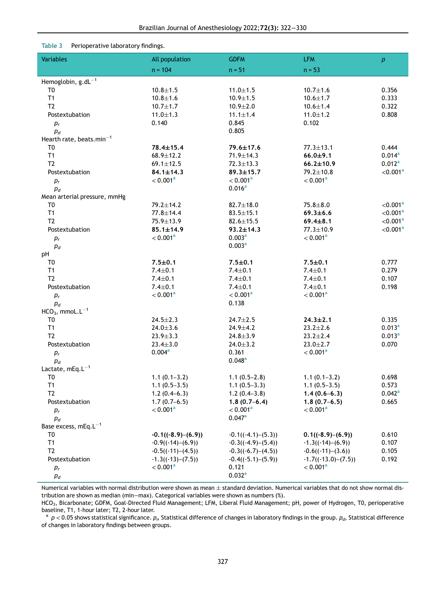# Table 3 Perioperative laboratory findings.

<span id="page-5-0"></span>

| <b>Variables</b>                     | All population       | <b>GDFM</b>          | <b>LFM</b>            | $\boldsymbol{p}$     |
|--------------------------------------|----------------------|----------------------|-----------------------|----------------------|
|                                      | $n = 104$            | $n = 51$             | $n = 53$              |                      |
| Hemoglobin, $g.dL^{-1}$              |                      |                      |                       |                      |
| T <sub>0</sub>                       | $10.8 + 1.5$         | $11.0 \pm 1.5$       | $10.7 + 1.6$          | 0.356                |
| T1                                   | $10.8 + 1.6$         | $10.9 + 1.5$         | $10.6 + 1.7$          | 0.333                |
| T <sub>2</sub>                       | $10.7 + 1.7$         | $10.9 + 2.0$         | $10.6 + 1.4$          | 0.322                |
| Postextubation                       | $11.0 \pm 1.3$       | $11.1 \pm 1.4$       | $11.0 \pm 1.2$        | 0.808                |
| $\mathfrak{p}_r$                     | 0.140                | 0.845                | 0.102                 |                      |
| $p_d$                                |                      | 0.805                |                       |                      |
| Hearth rate, beats.min <sup>-1</sup> |                      |                      |                       |                      |
| T <sub>0</sub>                       | 78.4±15.4            | 79.6±17.6            | $77.3 \pm 13.1$       | 0.444                |
| T1                                   | $68.9 \pm 12.2$      | 71.9±14.3            | $66.0 + 9.1$          | 0.014 <sup>a</sup>   |
| T <sub>2</sub>                       | $69.1 \pm 12.5$      | $72.3 \pm 13.3$      | $66.2 \pm 10.9$       | 0.012 <sup>a</sup>   |
| Postextubation                       | $84.1 \pm 14.3$      | $89.3 \pm 15.7$      | 79.2±10.8             | $<$ 0.001 $a$        |
| $\mathfrak{p}_r$                     | < 0.001 <sup>a</sup> | < 0.001 <sup>a</sup> | < 0.001 <sup>a</sup>  |                      |
| $p_d$                                |                      | 0.016 <sup>a</sup>   |                       |                      |
| Mean arterial pressure, mmHg         |                      |                      |                       |                      |
| T <sub>0</sub>                       | 79.2±14.2            | $82.7 \pm 18.0$      | $75.8 + 8.0$          | $<$ 0.001 $a$        |
| T1                                   | $77.8 \pm 14.4$      | $83.5 \pm 15.1$      | $69.3 \pm 6.6$        | < 0.001 <sup>a</sup> |
| T <sub>2</sub>                       | 75.9±13.9            | $82.6 \pm 15.5$      | $69.4 \pm 8.1$        | $<$ 0.001 $a$        |
| Postextubation                       | $85.1 \pm 14.9$      | $93.2 \pm 14.3$      | $77.3 \pm 10.9$       | < 0.001 <sup>a</sup> |
| $p_r$                                | < 0.001 <sup>a</sup> | 0.003 <sup>a</sup>   | < 0.001 <sup>a</sup>  |                      |
| $p_d$                                |                      | 0.003 <sup>a</sup>   |                       |                      |
| pH                                   |                      |                      |                       |                      |
| T0                                   | $7.5 + 0.1$          | $7.5 + 0.1$          | $7.5 + 0.1$           | 0.777                |
| T1                                   | $7.4 \pm 0.1$        | $7.4 \pm 0.1$        | $7.4 \pm 0.1$         | 0.279                |
| T <sub>2</sub>                       | $7.4 \pm 0.1$        | $7.4 \pm 0.1$        | $7.4 \pm 0.1$         | 0.107                |
| Postextubation                       | $7.4 \pm 0.1$        | $7.4 \pm 0.1$        | $7.4 \pm 0.1$         | 0.198                |
| $p_r$                                | < 0.001 <sup>a</sup> | < 0.001 <sup>a</sup> | < 0.001 <sup>a</sup>  |                      |
| $p_d$                                |                      | 0.138                |                       |                      |
| $HCO3$ , mmoL.L <sup>-1</sup>        |                      |                      |                       |                      |
| T <sub>0</sub>                       | $24.5 \pm 2.3$       | $24.7 \pm 2.5$       | $24.3 \pm 2.1$        | 0.335                |
| T1                                   | $24.0 \pm 3.6$       | $24.9 \pm 4.2$       | $23.2 \pm 2.6$        | 0.013 <sup>a</sup>   |
| T <sub>2</sub>                       | $23.9 \pm 3.3$       | $24.8 \pm 3.9$       | $23.2 \pm 2.4$        | 0.013 <sup>a</sup>   |
| Postextubation                       | $23.4 \pm 3.0$       | $24.0 \pm 3.2$       | $23.0 \pm 2.7$        | 0.070                |
| $p_r$                                | 0.004 <sup>a</sup>   | 0.361                | < 0.001 <sup>a</sup>  |                      |
| $p_d$                                |                      | 0.048 <sup>a</sup>   |                       |                      |
| Lactate, $mEq.L^{-1}$                |                      |                      |                       |                      |
| T <sub>0</sub>                       | $1.1(0.1-3.2)$       | $1.1(0.5-2.8)$       | $1.1(0.1-3.2)$        | 0.698                |
| T <sub>1</sub>                       | $1.1(0.5-3.5)$       | $1.1(0.5-3.3)$       | $1.1(0.5-3.5)$        | 0.573                |
| T <sub>2</sub>                       | $1.2(0.4-6.3)$       | $1.2(0.4-3.8)$       | $1.4(0.6-6.3)$        | $0.042^{\rm a}$      |
| Postextubation                       | $1.7(0.7-6.5)$       | $1.8(0.7-6.4)$       | $1.8(0.7-6.5)$        | 0.665                |
| $p_r$                                | < 0.001 <sup>a</sup> | < 0.001 <sup>a</sup> | < 0.001 <sup>a</sup>  |                      |
| $p_d$                                |                      | 0.047a               |                       |                      |
| Base excess, $mEq.L^{-1}$            |                      |                      |                       |                      |
| T <sub>0</sub>                       | $-0.1((-8.9)-(6.9))$ | $-0.1((-4.1)-(5.3))$ | $0.1((-8.9)-(6.9))$   | 0.610                |
| T1                                   | $-0.9((-14)-(6.9))$  | $-0.3((-4.9)-(5.4))$ | $-1.3((-14)-(6.9))$   | 0.107                |
| T <sub>2</sub>                       | $-0.5((-11)-(4.5))$  | $-0.3((-6.7)-(4.5))$ | $-0.6((-11)-(3.6))$   | 0.105                |
| Postextubation                       | $-1.3((-13)-(7.5))$  | $-0.4((-5.1)-(5.9))$ | $-1.7((-13.0)-(7.5))$ | 0.192                |
| $p_r$                                | < 0.001 <sup>a</sup> | 0.121                | < 0.001 <sup>a</sup>  |                      |
| $\mathfrak{p}_d$                     |                      | 0.032 <sup>a</sup>   |                       |                      |
|                                      |                      |                      |                       |                      |

Numerical variables with normal distribution were shown as mean  $\pm$  standard deviation. Numerical variables that do not show normal distribution are shown as median (min−max). Categorical variables were shown as numbers (%).

HCO<sub>3</sub>, Bicarbonate; GDFM, Goal-Directed Fluid Management; LFM, Liberal Fluid Management; pH, power of Hydrogen, T0, perioperative baseline, T1, 1-hour later; T2, 2-hour later.

<span id="page-5-1"></span> $^{\rm a}$   $p$   $<$  0.05 shows statistical significance.  $p_o$  Statistical difference of changes in laboratory findings in the group.  $p_d$ , Statistical difference of changes in laboratory findings between groups.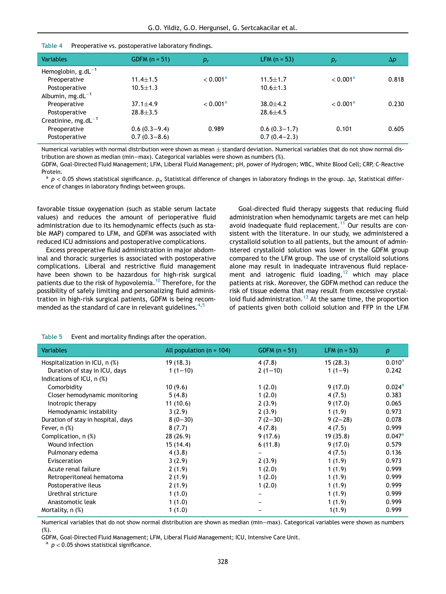#### Table 4 Preoperative vs. postoperative laboratory findings.

<span id="page-6-0"></span>

| <b>Variables</b>          | GDFM $(n = 51)$ | $p_r$                | LFM $(n = 53)$ | $p_r$                | $\Delta p$ |
|---------------------------|-----------------|----------------------|----------------|----------------------|------------|
| Hemoglobin, $g.dL^{-1}$   |                 |                      |                |                      |            |
| Preoperative              | $11.4 \pm 1.5$  | < 0.001 <sup>a</sup> | $11.5 + 1.7$   | < 0.001 <sup>a</sup> | 0.818      |
| Postoperative             | $10.5 + 1.3$    |                      | $10.6 + 1.3$   |                      |            |
| Albumin, mg.d $L^{-1}$    |                 |                      |                |                      |            |
| Preoperative              | $37.1 + 4.9$    | < 0.001 <sup>a</sup> | $38.0 + 4.2$   | < 0.001 <sup>a</sup> | 0.230      |
| Postoperative             | $28.8 + 3.5$    |                      | $28.6 + 4.5$   |                      |            |
| Creatinine, mg.d $L^{-1}$ |                 |                      |                |                      |            |
| Preoperative              | $0.6(0.3-9.4)$  | 0.989                | $0.6(0.3-1.7)$ | 0.101                | 0.605      |
| Postoperative             | $0.7(0.3-8.6)$  |                      | $0.7(0.4-2.3)$ |                      |            |

Numerical variables with normal distribution were shown as mean  $\pm$  standard deviation. Numerical variables that do not show normal distribution are shown as median (min−max). Categorical variables were shown as numbers (%).

GDFM, Goal-Directed Fluid Management; LFM, Liberal Fluid Management; pH, power of Hydrogen; WBC, White Blood Cell; CRP, C-Reactive Protein.

<span id="page-6-2"></span> $^{\rm a}$   $p$   $<$  0.05 shows statistical significance.  $p_{\rm o}$  Statistical difference of changes in laboratory findings in the group.  $\Delta p$ , Statistical difference of changes in laboratory findings between groups.

favorable tissue oxygenation (such as stable serum lactate values) and reduces the amount of perioperative fluid administration due to its hemodynamic effects (such as stable MAP) compared to LFM, and GDFM was associated with reduced ICU admissions and postoperative complications.

Excess preoperative fluid administration in major abdominal and thoracic surgeries is associated with postoperative complications. Liberal and restrictive fluid management have been shown to be hazardous for high-risk surgical patients due to the risk of hypovolemia.<sup>[10](#page-8-9)</sup> Therefore, for the possibility of safely limiting and personalizing fluid administration in high-risk surgical patients, GDFM is being recommended as the standard of care in relevant guidelines. $4,5$  $4,5$ 

Goal-directed fluid therapy suggests that reducing fluid administration when hemodynamic targets are met can help avoid inadequate fluid replacement.<sup>[11](#page-8-10)</sup> Our results are consistent with the literature. In our study, we administered a crystalloid solution to all patients, but the amount of administered crystalloid solution was lower in the GDFM group compared to the LFM group. The use of crystalloid solutions alone may result in inadequate intravenous fluid replacement and iatrogenic fluid loading, $12$  which may place patients at risk. Moreover, the GDFM method can reduce the risk of tissue edema that may result from excessive crystal-loid fluid administration.<sup>[13](#page-8-12)</sup> At the same time, the proportion of patients given both colloid solution and FFP in the LFM

<span id="page-6-1"></span>

| <b>Variables</b>                   | All population ( $n = 104$ ) | GDFM $(n = 51)$ | $LFM (n = 53)$ | $\boldsymbol{p}$ |
|------------------------------------|------------------------------|-----------------|----------------|------------------|
| Hospitalization in ICU, n (%)      | 19(18.3)                     | 4(7.8)          | 15(28.3)       | $0.010^{\rm a}$  |
| Duration of stay in ICU, days      | $1(1-10)$                    | $2(1-10)$       | $1(1-9)$       | 0.242            |
| Indications of ICU, $n$ $%$ )      |                              |                 |                |                  |
| Comorbidity                        | 10(9.6)                      | 1(2.0)          | 9(17.0)        | $0.024^{\rm a}$  |
| Closer hemodynamic monitoring      | 5(4.8)                       | 1(2.0)          | 4(7.5)         | 0.383            |
| Inotropic therapy                  | 11(10.6)                     | 2(3.9)          | 9(17.0)        | 0.065            |
| Hemodynamic instability            | 3(2.9)                       | 2(3.9)          | 1(1.9)         | 0.973            |
| Duration of stay in hospital, days | $8(0-30)$                    | $7(2-30)$       | $9(2-28)$      | 0.078            |
| Fever, $n$ $%$ )                   | 8(7.7)                       | 4(7.8)          | 4(7.5)         | 0.999            |
| Complication, n (%)                | 28 (26.9)                    | 9(17.6)         | 19 (35.8)      | $0.047^{\rm a}$  |
| Wound infection                    | 15(14.4)                     | 6(11.8)         | 9(17.0)        | 0.579            |
| Pulmonary edema                    | 4(3.8)                       |                 | 4(7.5)         | 0.136            |
| Evisceration                       | 3(2.9)                       | 2(3.9)          | 1(1.9)         | 0.973            |
| Acute renal failure                | 2(1.9)                       | 1(2.0)          | 1(1.9)         | 0.999            |
| Retroperitoneal hematoma           | 2(1.9)                       | 1(2.0)          | 1(1.9)         | 0.999            |
| Postoperative ileus                | 2(1.9)                       | 1(2.0)          | 1(1.9)         | 0.999            |
| Urethral stricture                 | 1(1.0)                       |                 | 1(1.9)         | 0.999            |
| Anastomotic leak                   | 1(1.0)                       |                 | 1(1.9)         | 0.999            |
| Mortality, n (%)                   | 1(1.0)                       |                 | 1(1.9)         | 0.999            |

Table 5 Event and mortality findings after the operation.

Numerical variables that do not show normal distribution are shown as median (min−max). Categorical variables were shown as numbers (%).

<span id="page-6-3"></span>GDFM, Goal-Directed Fluid Management; LFM, Liberal Fluid Management; ICU, Intensive Care Unit.

 $a$   $p$  < 0.05 shows statistical significance.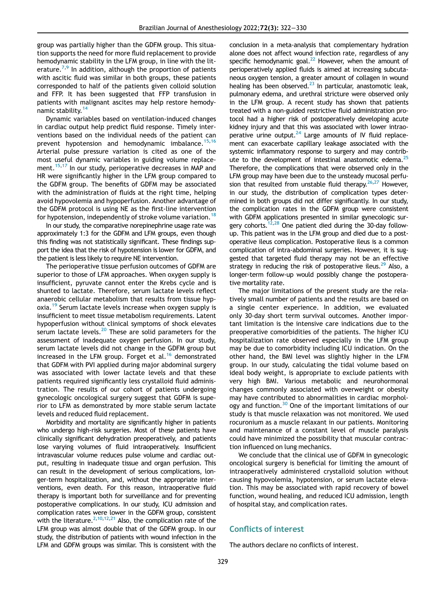group was partially higher than the GDFM group. This situation supports the need for more fluid replacement to provide hemodynamic stability in the LFM group, in line with the lit-erature.<sup>[7](#page-8-6)[,9](#page-8-8)</sup> In addition, although the proportion of patients with ascitic fluid was similar in both groups, these patients corresponded to half of the patients given colloid solution and FFP. It has been suggested that FFP transfusion in patients with malignant ascites may help restore hemody-namic stability.<sup>[14](#page-8-13)</sup>

Dynamic variables based on ventilation-induced changes in cardiac output help predict fluid response. Timely interventions based on the individual needs of the patient can prevent hypotension and hemodynamic imbalance.<sup>[15](#page-8-14),[16](#page-8-15)</sup> Arterial pulse pressure variation is cited as one of the most useful dynamic variables in guiding volume replace-ment.<sup>[15,](#page-8-14)[17](#page-8-16)</sup> In our study, perioperative decreases in MAP and HR were significantly higher in the LFM group compared to the GDFM group. The benefits of GDFM may be associated with the administration of fluids at the right time, helping avoid hypovolemia and hypoperfusion. Another advantage of the GDFM protocol is using NE as the first-line intervention for hypotension, independently of stroke volume variation.<sup>[18](#page-8-17)</sup>

In our study, the comparative norepinephrine usage rate was approximately 1:3 for the GDFM and LFM groups, even though this finding was not statistically significant. These findings support the idea that the risk of hypotension is lower for GDFM, and the patient is less likely to require NE intervention.

The perioperative tissue perfusion outcomes of GDFM are superior to those of LFM approaches. When oxygen supply is insufficient, pyruvate cannot enter the Krebs cycle and is shunted to lactate. Therefore, serum lactate levels reflect anaerobic cellular metabolism that results from tissue hyp-oxia.<sup>[19](#page-8-18)</sup> Serum lactate levels increase when oxygen supply is insufficient to meet tissue metabolism requirements. Latent hypoperfusion without clinical symptoms of shock elevates serum lactate levels. $20$  These are solid parameters for the assessment of inadequate oxygen perfusion. In our study, serum lactate levels did not change in the GDFM group but increased in the LFM group. Forget et al.<sup>[16](#page-8-15)</sup> demonstrated that GDFM with PVI applied during major abdominal surgery was associated with lower lactate levels and that these patients required significantly less crystalloid fluid administration. The results of our cohort of patients undergoing gynecologic oncological surgery suggest that GDFM is superior to LFM as demonstrated by more stable serum lactate levels and reduced fluid replacement.

Morbidity and mortality are significantly higher in patients who undergo high-risk surgeries. Most of these patients have clinically significant dehydration preoperatively, and patients lose varying volumes of fluid intraoperatively. Insufficient intravascular volume reduces pulse volume and cardiac output, resulting in inadequate tissue and organ perfusion. This can result in the development of serious complications, longer-term hospitalization, and, without the appropriate interventions, even death. For this reason, intraoperative fluid therapy is important both for surveillance and for preventing postoperative complications. In our study, ICU admission and complication rates were lower in the GDFM group, consistent with the literature.<sup>2[,10,](#page-8-9)[12](#page-8-11),[21](#page-8-20)</sup> Also, the complication rate of the LFM group was almost double that of the GDFM group. In our study, the distribution of patients with wound infection in the LFM and GDFM groups was similar. This is consistent with the

conclusion in a meta-analysis that complementary hydration alone does not affect wound infection rate, regardless of any specific hemodynamic goal. $^{22}$  However, when the amount of perioperatively applied fluids is aimed at increasing subcutaneous oxygen tension, a greater amount of collagen in wound healing has been observed. $^{23}$  In particular, anastomotic leak, pulmonary edema, and urethral stricture were observed only in the LFM group. A recent study has shown that patients treated with a non-guided restrictive fluid administration protocol had a higher risk of postoperatively developing acute kidney injury and that this was associated with lower intraoperative urine output. $24$  Large amounts of IV fluid replacement can exacerbate capillary leakage associated with the systemic inflammatory response to surgery and may contribute to the development of intestinal anastomotic edema.<sup>25</sup> Therefore, the complications that were observed only in the LFM group may have been due to the unsteady mucosal perfusion that resulted from unstable fluid therapy.  $26,27$  $26,27$  However, in our study, the distribution of complication types determined in both groups did not differ significantly. In our study, the complication rates in the GDFM group were consistent with GDFM applications presented in similar gynecologic sur-gery cohorts.<sup>[12](#page-8-11)[,28](#page-8-27)</sup> One patient died during the 30-day followup. This patient was in the LFM group and died due to a postoperative ileus complication. Postoperative ileus is a common complication of intra-abdominal surgeries. However, it is suggested that targeted fluid therapy may not be an effective strategy in reducing the risk of postoperative ileus.<sup>[29](#page-8-28)</sup> Also, a longer-term follow-up would possibly change the postoperative mortality rate.

The major limitations of the present study are the relatively small number of patients and the results are based on a single center experience. In addition, we evaluated only 30-day short term survival outcomes. Another important limitation is the intensive care indications due to the preoperative comorbidities of the patients. The higher ICU hospitalization rate observed especially in the LFM group may be due to comorbidity including ICU indication. On the other hand, the BMI level was slightly higher in the LFM group. In our study, calculating the tidal volume based on ideal body weight, is appropriate to exclude patients with very high BMI. Various metabolic and neurohormonal changes commonly associated with overweight or obesity may have contributed to abnormalities in cardiac morphology and function.[30](#page-8-29) One of the important limitations of our study is that muscle relaxation was not monitored. We used rocuronium as a muscle relaxant in our patients. Monitoring and maintenance of a constant level of muscle paralysis could have minimized the possibility that muscular contraction influenced on lung mechanics.

We conclude that the clinical use of GDFM in gynecologic oncological surgery is beneficial for limiting the amount of intraoperatively administered crystalloid solution without causing hypovolemia, hypotension, or serum lactate elevation. This may be associated with rapid recovery of bowel function, wound healing, and reduced ICU admission, length of hospital stay, and complication rates.

# Conflicts of interest

The authors declare no conflicts of interest.